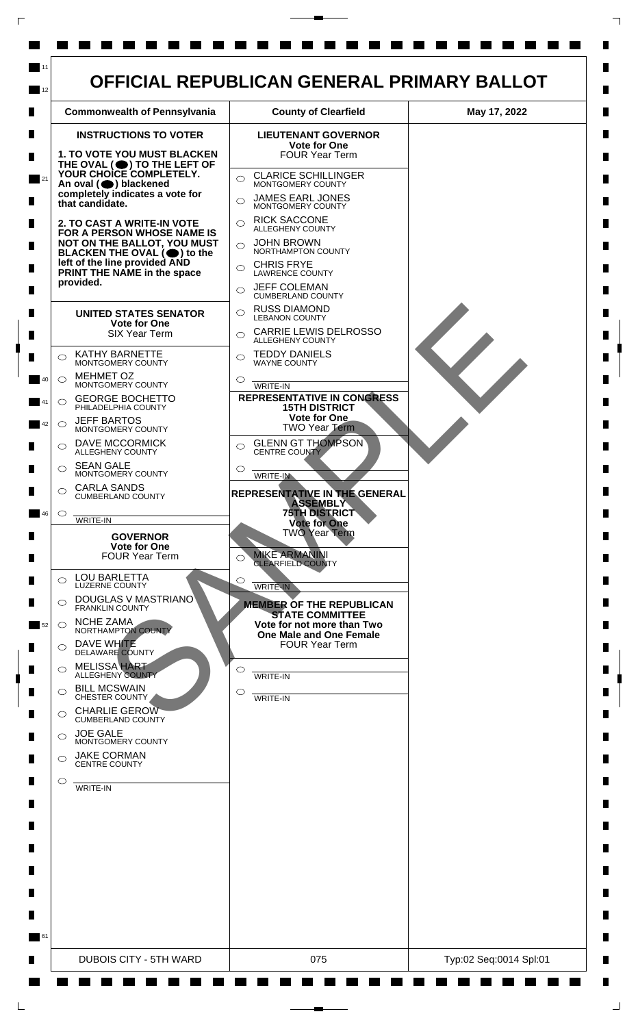

 $\mathsf{L}$ 

 $\Box$